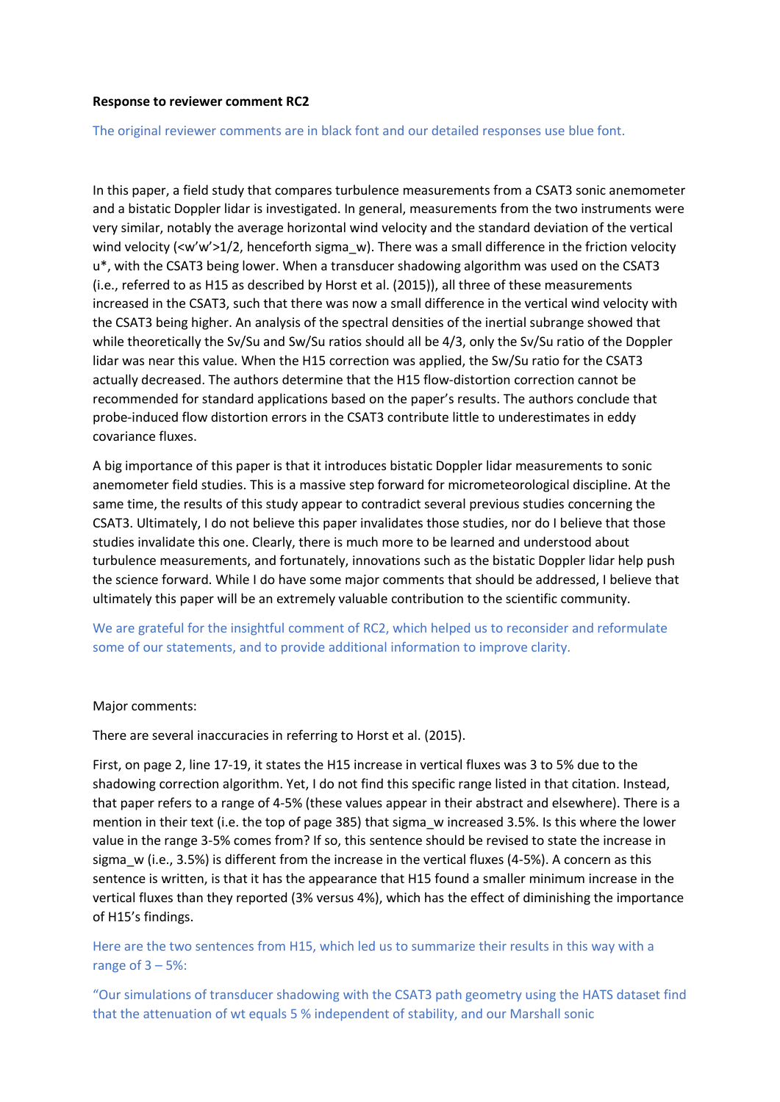### **Response to reviewer comment RC2**

#### The original reviewer comments are in black font and our detailed responses use blue font.

In this paper, a field study that compares turbulence measurements from a CSAT3 sonic anemometer and a bistatic Doppler lidar is investigated. In general, measurements from the two instruments were very similar, notably the average horizontal wind velocity and the standard deviation of the vertical wind velocity (<w'w'>1/2, henceforth sigma\_w). There was a small difference in the friction velocity u\*, with the CSAT3 being lower. When a transducer shadowing algorithm was used on the CSAT3 (i.e., referred to as H15 as described by Horst et al. (2015)), all three of these measurements increased in the CSAT3, such that there was now a small difference in the vertical wind velocity with the CSAT3 being higher. An analysis of the spectral densities of the inertial subrange showed that while theoretically the Sv/Su and Sw/Su ratios should all be 4/3, only the Sv/Su ratio of the Doppler lidar was near this value. When the H15 correction was applied, the Sw/Su ratio for the CSAT3 actually decreased. The authors determine that the H15 flow-distortion correction cannot be recommended for standard applications based on the paper's results. The authors conclude that probe-induced flow distortion errors in the CSAT3 contribute little to underestimates in eddy covariance fluxes.

A big importance of this paper is that it introduces bistatic Doppler lidar measurements to sonic anemometer field studies. This is a massive step forward for micrometeorological discipline. At the same time, the results of this study appear to contradict several previous studies concerning the CSAT3. Ultimately, I do not believe this paper invalidates those studies, nor do I believe that those studies invalidate this one. Clearly, there is much more to be learned and understood about turbulence measurements, and fortunately, innovations such as the bistatic Doppler lidar help push the science forward. While I do have some major comments that should be addressed, I believe that ultimately this paper will be an extremely valuable contribution to the scientific community.

We are grateful for the insightful comment of RC2, which helped us to reconsider and reformulate some of our statements, and to provide additional information to improve clarity.

#### Major comments:

There are several inaccuracies in referring to Horst et al. (2015).

First, on page 2, line 17-19, it states the H15 increase in vertical fluxes was 3 to 5% due to the shadowing correction algorithm. Yet, I do not find this specific range listed in that citation. Instead, that paper refers to a range of 4-5% (these values appear in their abstract and elsewhere). There is a mention in their text (i.e. the top of page 385) that sigma\_w increased 3.5%. Is this where the lower value in the range 3-5% comes from? If so, this sentence should be revised to state the increase in sigma w (i.e., 3.5%) is different from the increase in the vertical fluxes (4-5%). A concern as this sentence is written, is that it has the appearance that H15 found a smaller minimum increase in the vertical fluxes than they reported (3% versus 4%), which has the effect of diminishing the importance of H15's findings.

Here are the two sentences from H15, which led us to summarize their results in this way with a range of  $3 - 5\%$ :

"Our simulations of transducer shadowing with the CSAT3 path geometry using the HATS dataset find that the attenuation of wt equals 5 % independent of stability, and our Marshall sonic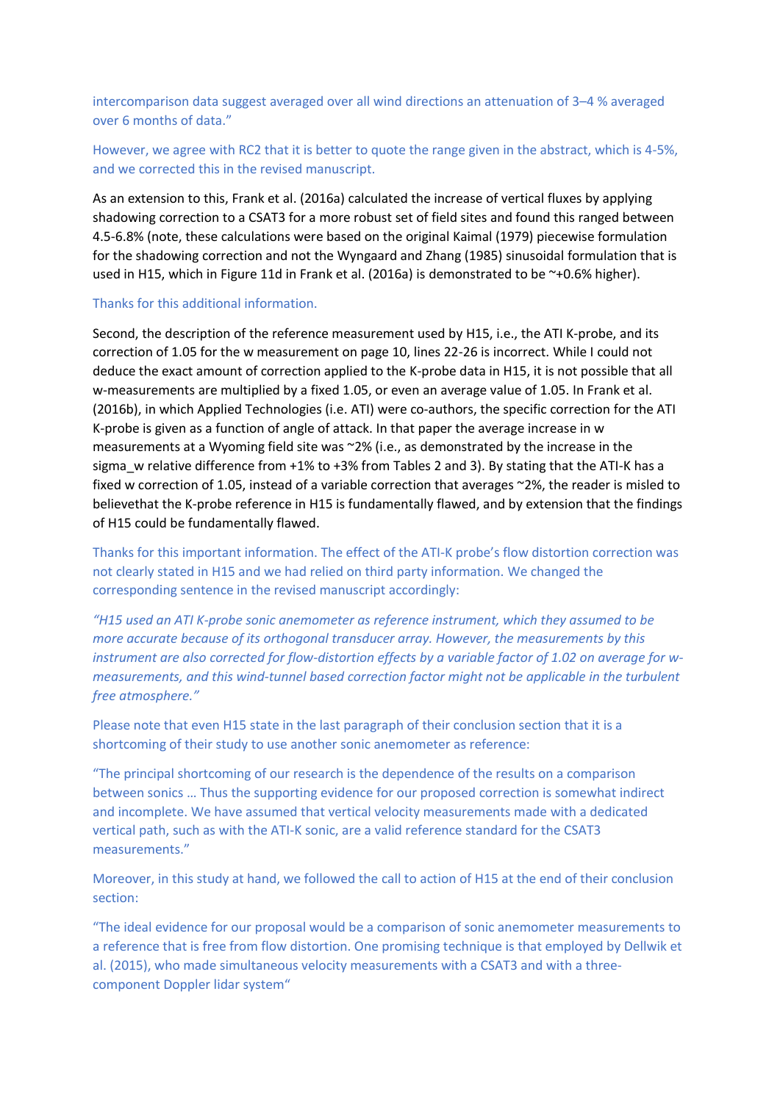intercomparison data suggest averaged over all wind directions an attenuation of 3–4 % averaged over 6 months of data."

However, we agree with RC2 that it is better to quote the range given in the abstract, which is 4-5%, and we corrected this in the revised manuscript.

As an extension to this, Frank et al. (2016a) calculated the increase of vertical fluxes by applying shadowing correction to a CSAT3 for a more robust set of field sites and found this ranged between 4.5-6.8% (note, these calculations were based on the original Kaimal (1979) piecewise formulation for the shadowing correction and not the Wyngaard and Zhang (1985) sinusoidal formulation that is used in H15, which in Figure 11d in Frank et al. (2016a) is demonstrated to be ~+0.6% higher).

### Thanks for this additional information.

Second, the description of the reference measurement used by H15, i.e., the ATI K-probe, and its correction of 1.05 for the w measurement on page 10, lines 22-26 is incorrect. While I could not deduce the exact amount of correction applied to the K-probe data in H15, it is not possible that all w-measurements are multiplied by a fixed 1.05, or even an average value of 1.05. In Frank et al. (2016b), in which Applied Technologies (i.e. ATI) were co-authors, the specific correction for the ATI K-probe is given as a function of angle of attack. In that paper the average increase in w measurements at a Wyoming field site was ~2% (i.e., as demonstrated by the increase in the sigma\_w relative difference from +1% to +3% from Tables 2 and 3). By stating that the ATI-K has a fixed w correction of 1.05, instead of a variable correction that averages ~2%, the reader is misled to believethat the K-probe reference in H15 is fundamentally flawed, and by extension that the findings of H15 could be fundamentally flawed.

Thanks for this important information. The effect of the ATI-K probe's flow distortion correction was not clearly stated in H15 and we had relied on third party information. We changed the corresponding sentence in the revised manuscript accordingly:

*"H15 used an ATI K-probe sonic anemometer as reference instrument, which they assumed to be more accurate because of its orthogonal transducer array. However, the measurements by this instrument are also corrected for flow-distortion effects by a variable factor of 1.02 on average for wmeasurements, and this wind-tunnel based correction factor might not be applicable in the turbulent free atmosphere."*

Please note that even H15 state in the last paragraph of their conclusion section that it is a shortcoming of their study to use another sonic anemometer as reference:

"The principal shortcoming of our research is the dependence of the results on a comparison between sonics … Thus the supporting evidence for our proposed correction is somewhat indirect and incomplete. We have assumed that vertical velocity measurements made with a dedicated vertical path, such as with the ATI-K sonic, are a valid reference standard for the CSAT3 measurements."

Moreover, in this study at hand, we followed the call to action of H15 at the end of their conclusion section:

"The ideal evidence for our proposal would be a comparison of sonic anemometer measurements to a reference that is free from flow distortion. One promising technique is that employed by Dellwik et al. (2015), who made simultaneous velocity measurements with a CSAT3 and with a threecomponent Doppler lidar system"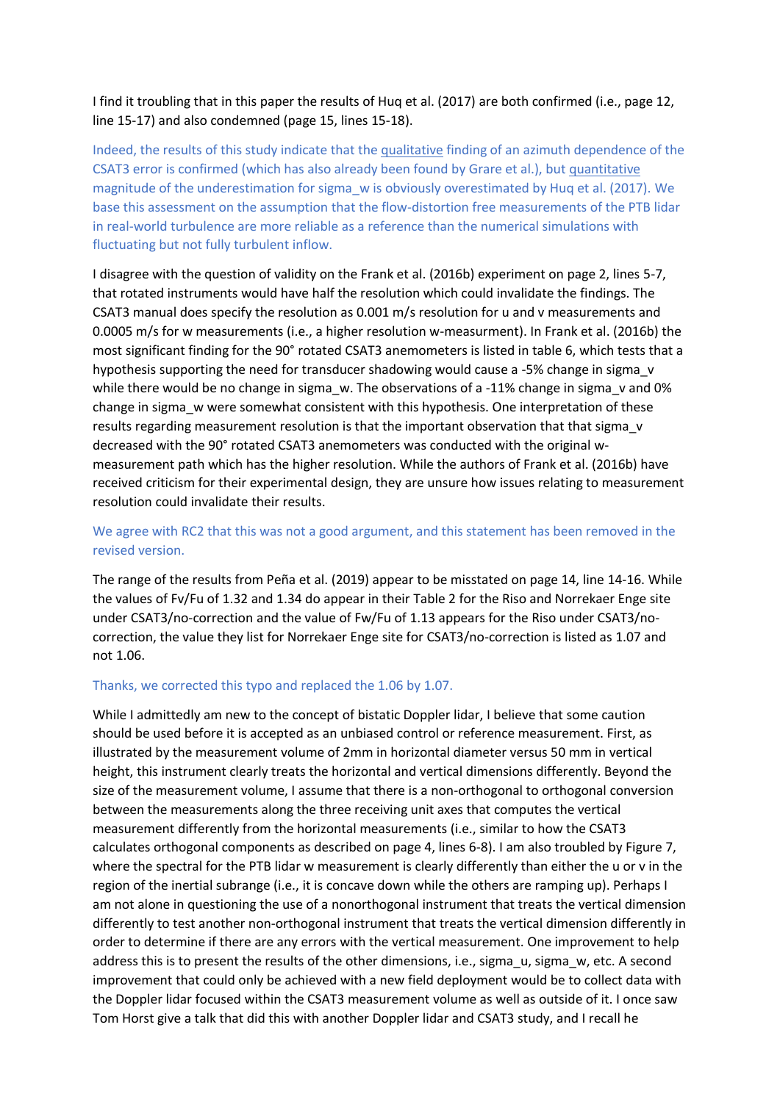I find it troubling that in this paper the results of Huq et al. (2017) are both confirmed (i.e., page 12, line 15-17) and also condemned (page 15, lines 15-18).

Indeed, the results of this study indicate that the qualitative finding of an azimuth dependence of the CSAT3 error is confirmed (which has also already been found by Grare et al.), but quantitative magnitude of the underestimation for sigma\_w is obviously overestimated by Huq et al. (2017). We base this assessment on the assumption that the flow-distortion free measurements of the PTB lidar in real-world turbulence are more reliable as a reference than the numerical simulations with fluctuating but not fully turbulent inflow.

I disagree with the question of validity on the Frank et al. (2016b) experiment on page 2, lines 5-7, that rotated instruments would have half the resolution which could invalidate the findings. The CSAT3 manual does specify the resolution as 0.001 m/s resolution for u and v measurements and 0.0005 m/s for w measurements (i.e., a higher resolution w-measurment). In Frank et al. (2016b) the most significant finding for the 90° rotated CSAT3 anemometers is listed in table 6, which tests that a hypothesis supporting the need for transducer shadowing would cause a -5% change in sigma\_v while there would be no change in sigma\_w. The observations of a -11% change in sigma\_v and 0% change in sigma w were somewhat consistent with this hypothesis. One interpretation of these results regarding measurement resolution is that the important observation that that sigma\_v decreased with the 90° rotated CSAT3 anemometers was conducted with the original wmeasurement path which has the higher resolution. While the authors of Frank et al. (2016b) have received criticism for their experimental design, they are unsure how issues relating to measurement resolution could invalidate their results.

# We agree with RC2 that this was not a good argument, and this statement has been removed in the revised version.

The range of the results from Peña et al. (2019) appear to be misstated on page 14, line 14-16. While the values of Fv/Fu of 1.32 and 1.34 do appear in their Table 2 for the Riso and Norrekaer Enge site under CSAT3/no-correction and the value of Fw/Fu of 1.13 appears for the Riso under CSAT3/nocorrection, the value they list for Norrekaer Enge site for CSAT3/no-correction is listed as 1.07 and not 1.06.

### Thanks, we corrected this typo and replaced the 1.06 by 1.07.

While I admittedly am new to the concept of bistatic Doppler lidar, I believe that some caution should be used before it is accepted as an unbiased control or reference measurement. First, as illustrated by the measurement volume of 2mm in horizontal diameter versus 50 mm in vertical height, this instrument clearly treats the horizontal and vertical dimensions differently. Beyond the size of the measurement volume, I assume that there is a non-orthogonal to orthogonal conversion between the measurements along the three receiving unit axes that computes the vertical measurement differently from the horizontal measurements (i.e., similar to how the CSAT3 calculates orthogonal components as described on page 4, lines 6-8). I am also troubled by Figure 7, where the spectral for the PTB lidar w measurement is clearly differently than either the u or v in the region of the inertial subrange (i.e., it is concave down while the others are ramping up). Perhaps I am not alone in questioning the use of a nonorthogonal instrument that treats the vertical dimension differently to test another non-orthogonal instrument that treats the vertical dimension differently in order to determine if there are any errors with the vertical measurement. One improvement to help address this is to present the results of the other dimensions, i.e., sigma u, sigma w, etc. A second improvement that could only be achieved with a new field deployment would be to collect data with the Doppler lidar focused within the CSAT3 measurement volume as well as outside of it. I once saw Tom Horst give a talk that did this with another Doppler lidar and CSAT3 study, and I recall he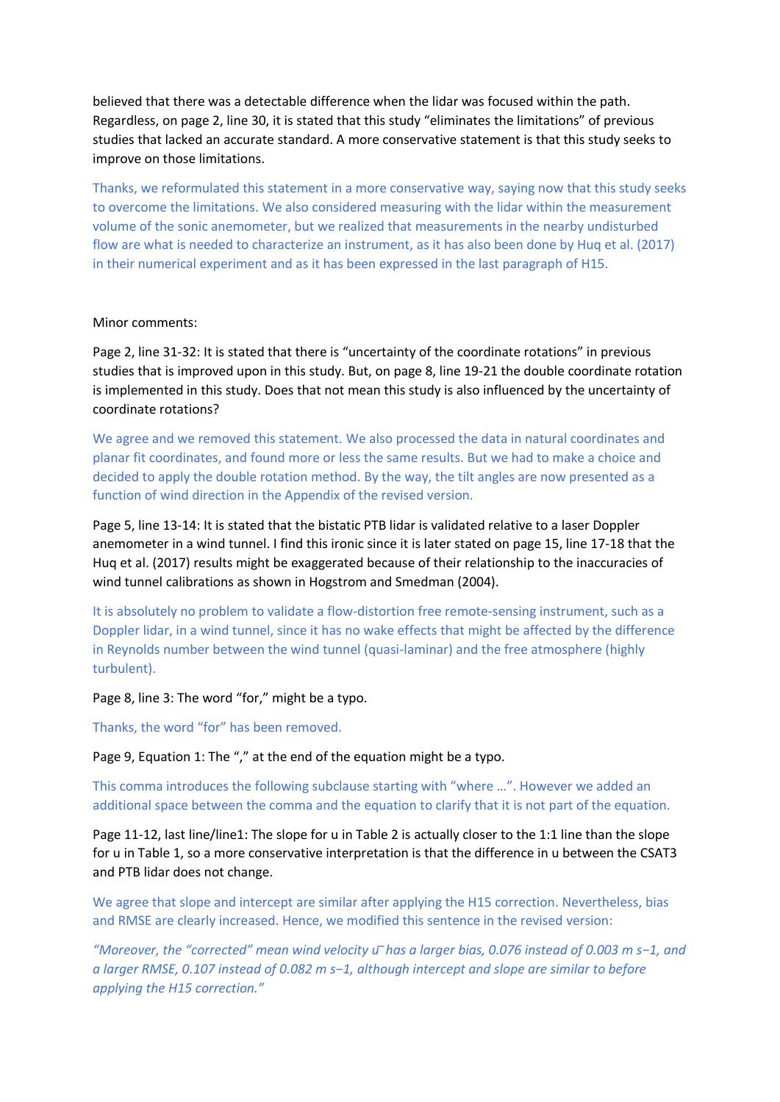believed that there was a detectable difference when the lidar was focused within the path. Regardless, on page 2, line 30, it is stated that this study "eliminates the limitations" of previous studies that lacked an accurate standard. A more conservative statement is that this study seeks to improve on those limitations.

Thanks, we reformulated this statement in a more conservative way, saying now that this study seeks to overcome the limitations. We also considered measuring with the lidar within the measurement volume of the sonic anemometer, but we realized that measurements in the nearby undisturbed flow are what is needed to characterize an instrument, as it has also been done by Huq et al. (2017) in their numerical experiment and as it has been expressed in the last paragraph of H15.

### Minor comments:

Page 2, line 31-32: It is stated that there is "uncertainty of the coordinate rotations" in previous studies that is improved upon in this study. But, on page 8, line 19-21 the double coordinate rotation is implemented in this study. Does that not mean this study is also influenced by the uncertainty of coordinate rotations?

We agree and we removed this statement. We also processed the data in natural coordinates and planar fit coordinates, and found more or less the same results. But we had to make a choice and decided to apply the double rotation method. By the way, the tilt angles are now presented as a function of wind direction in the Appendix of the revised version.

Page 5, line 13-14: It is stated that the bistatic PTB lidar is validated relative to a laser Doppler anemometer in a wind tunnel. I find this ironic since it is later stated on page 15, line 17-18 that the Huq et al. (2017) results might be exaggerated because of their relationship to the inaccuracies of wind tunnel calibrations as shown in Hogstrom and Smedman (2004).

It is absolutely no problem to validate a flow-distortion free remote-sensing instrument, such as a Doppler lidar, in a wind tunnel, since it has no wake effects that might be affected by the difference in Reynolds number between the wind tunnel (quasi-laminar) and the free atmosphere (highly turbulent).

## Page 8, line 3: The word "for," might be a typo.

Thanks, the word "for" has been removed.

Page 9, Equation 1: The "," at the end of the equation might be a typo.

This comma introduces the following subclause starting with "where …". However we added an additional space between the comma and the equation to clarify that it is not part of the equation.

Page 11-12, last line/line1: The slope for u in Table 2 is actually closer to the 1:1 line than the slope for u in Table 1, so a more conservative interpretation is that the difference in u between the CSAT3 and PTB lidar does not change.

We agree that slope and intercept are similar after applying the H15 correction. Nevertheless, bias and RMSE are clearly increased. Hence, we modified this sentence in the revised version:

*"Moreover, the "corrected" mean wind velocity u ̅has a larger bias, 0.076 instead of 0.003 m s−1, and a larger RMSE, 0.107 instead of 0.082 m s−1, although intercept and slope are similar to before applying the H15 correction."*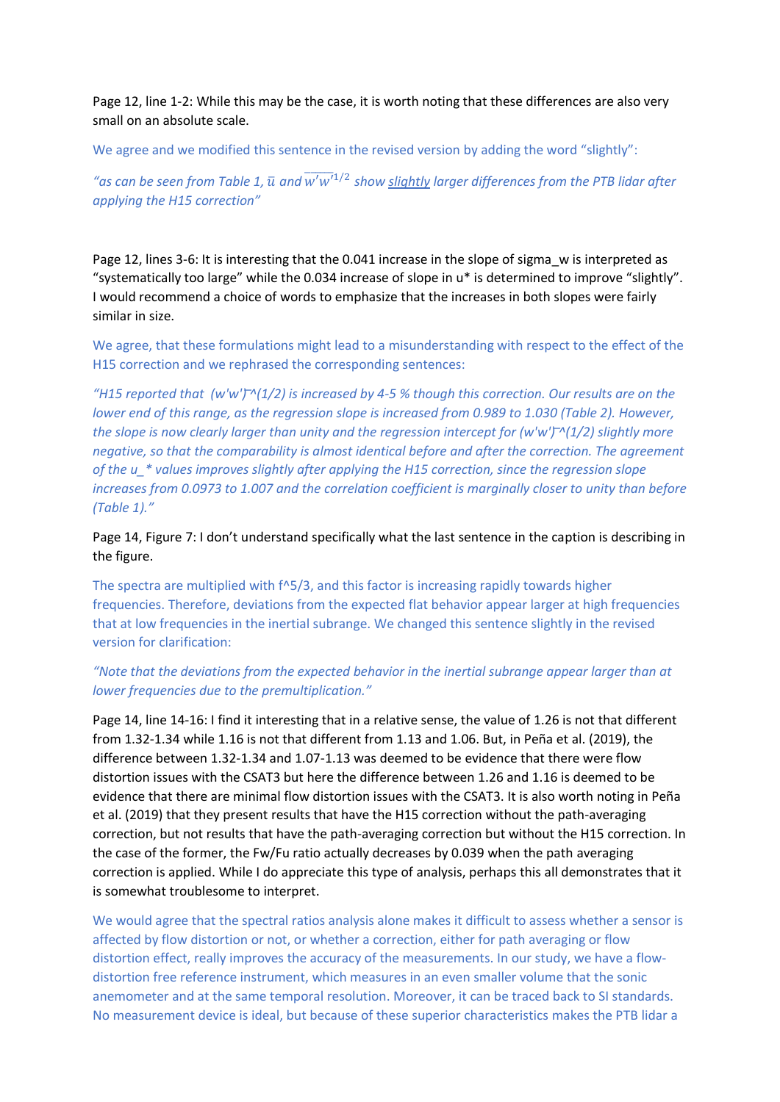Page 12, line 1-2: While this may be the case, it is worth noting that these differences are also very small on an absolute scale.

We agree and we modified this sentence in the revised version by adding the word "slightly":

"as can be seen from Table 1,  $\bar{u}$  and  $\overline{w'w'}^{1/2}$  show <u>slightly</u> larger differences from the PTB lidar after *applying the H15 correction"* 

Page 12, lines 3-6: It is interesting that the 0.041 increase in the slope of sigma w is interpreted as "systematically too large" while the 0.034 increase of slope in u\* is determined to improve "slightly". I would recommend a choice of words to emphasize that the increases in both slopes were fairly similar in size.

We agree, that these formulations might lead to a misunderstanding with respect to the effect of the H15 correction and we rephrased the corresponding sentences:

*"H15 reported that (w'w') ̅^(1/2) is increased by 4-5 % though this correction. Our results are on the lower end of this range, as the regression slope is increased from 0.989 to 1.030 (Table 2). However, the slope is now clearly larger than unity and the regression intercept for (w'w') ̅^(1/2) slightly more negative, so that the comparability is almost identical before and after the correction. The agreement of the u\_\* values improves slightly after applying the H15 correction, since the regression slope increases from 0.0973 to 1.007 and the correlation coefficient is marginally closer to unity than before (Table 1)."*

Page 14, Figure 7: I don't understand specifically what the last sentence in the caption is describing in the figure.

The spectra are multiplied with f^5/3, and this factor is increasing rapidly towards higher frequencies. Therefore, deviations from the expected flat behavior appear larger at high frequencies that at low frequencies in the inertial subrange. We changed this sentence slightly in the revised version for clarification:

# *"Note that the deviations from the expected behavior in the inertial subrange appear larger than at lower frequencies due to the premultiplication."*

Page 14, line 14-16: I find it interesting that in a relative sense, the value of 1.26 is not that different from 1.32-1.34 while 1.16 is not that different from 1.13 and 1.06. But, in Peña et al. (2019), the difference between 1.32-1.34 and 1.07-1.13 was deemed to be evidence that there were flow distortion issues with the CSAT3 but here the difference between 1.26 and 1.16 is deemed to be evidence that there are minimal flow distortion issues with the CSAT3. It is also worth noting in Peña et al. (2019) that they present results that have the H15 correction without the path-averaging correction, but not results that have the path-averaging correction but without the H15 correction. In the case of the former, the Fw/Fu ratio actually decreases by 0.039 when the path averaging correction is applied. While I do appreciate this type of analysis, perhaps this all demonstrates that it is somewhat troublesome to interpret.

We would agree that the spectral ratios analysis alone makes it difficult to assess whether a sensor is affected by flow distortion or not, or whether a correction, either for path averaging or flow distortion effect, really improves the accuracy of the measurements. In our study, we have a flowdistortion free reference instrument, which measures in an even smaller volume that the sonic anemometer and at the same temporal resolution. Moreover, it can be traced back to SI standards. No measurement device is ideal, but because of these superior characteristics makes the PTB lidar a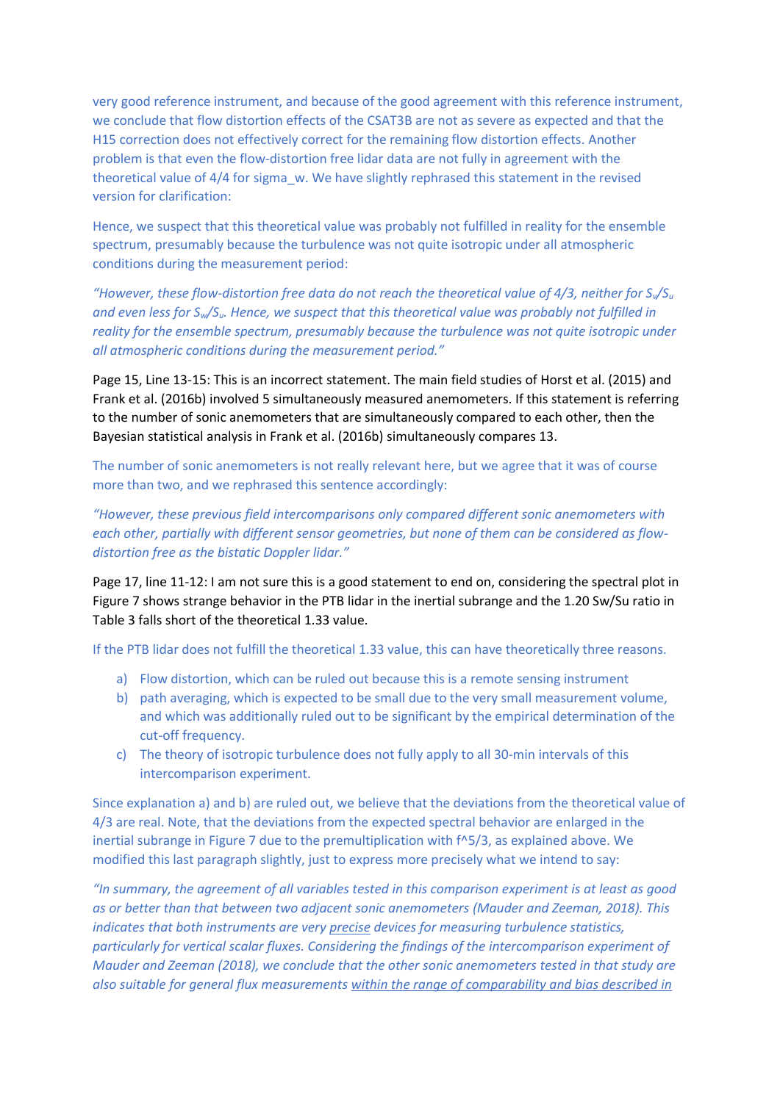very good reference instrument, and because of the good agreement with this reference instrument, we conclude that flow distortion effects of the CSAT3B are not as severe as expected and that the H15 correction does not effectively correct for the remaining flow distortion effects. Another problem is that even the flow-distortion free lidar data are not fully in agreement with the theoretical value of 4/4 for sigma\_w. We have slightly rephrased this statement in the revised version for clarification:

Hence, we suspect that this theoretical value was probably not fulfilled in reality for the ensemble spectrum, presumably because the turbulence was not quite isotropic under all atmospheric conditions during the measurement period:

*"However, these flow-distortion free data do not reach the theoretical value of 4/3, neither for Sv/S<sup>u</sup> and even less for Sw/Su. Hence, we suspect that this theoretical value was probably not fulfilled in reality for the ensemble spectrum, presumably because the turbulence was not quite isotropic under all atmospheric conditions during the measurement period."*

Page 15, Line 13-15: This is an incorrect statement. The main field studies of Horst et al. (2015) and Frank et al. (2016b) involved 5 simultaneously measured anemometers. If this statement is referring to the number of sonic anemometers that are simultaneously compared to each other, then the Bayesian statistical analysis in Frank et al. (2016b) simultaneously compares 13.

The number of sonic anemometers is not really relevant here, but we agree that it was of course more than two, and we rephrased this sentence accordingly:

*"However, these previous field intercomparisons only compared different sonic anemometers with each other, partially with different sensor geometries, but none of them can be considered as flowdistortion free as the bistatic Doppler lidar."*

Page 17, line 11-12: I am not sure this is a good statement to end on, considering the spectral plot in Figure 7 shows strange behavior in the PTB lidar in the inertial subrange and the 1.20 Sw/Su ratio in Table 3 falls short of the theoretical 1.33 value.

If the PTB lidar does not fulfill the theoretical 1.33 value, this can have theoretically three reasons.

- a) Flow distortion, which can be ruled out because this is a remote sensing instrument
- b) path averaging, which is expected to be small due to the very small measurement volume, and which was additionally ruled out to be significant by the empirical determination of the cut-off frequency.
- c) The theory of isotropic turbulence does not fully apply to all 30-min intervals of this intercomparison experiment.

Since explanation a) and b) are ruled out, we believe that the deviations from the theoretical value of 4/3 are real. Note, that the deviations from the expected spectral behavior are enlarged in the inertial subrange in Figure 7 due to the premultiplication with f^5/3, as explained above. We modified this last paragraph slightly, just to express more precisely what we intend to say:

*"In summary, the agreement of all variables tested in this comparison experiment is at least as good as or better than that between two adjacent sonic anemometers (Mauder and Zeeman, 2018). This indicates that both instruments are very precise devices for measuring turbulence statistics, particularly for vertical scalar fluxes. Considering the findings of the intercomparison experiment of Mauder and Zeeman (2018), we conclude that the other sonic anemometers tested in that study are also suitable for general flux measurements within the range of comparability and bias described in*